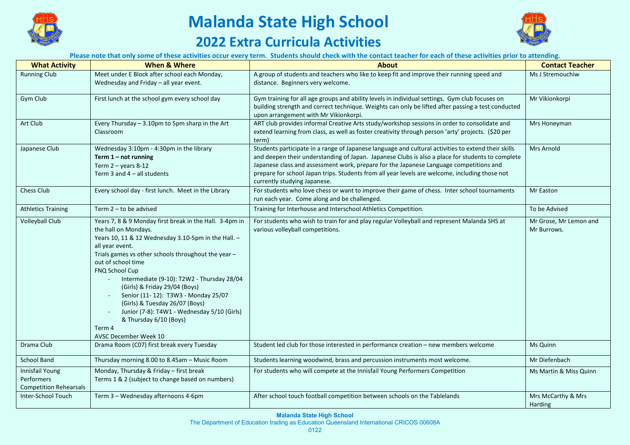

## **Malanda State High School**

## **2022 Extra Curricula Activities**



**Please note that only some of these activities occur every term. Students should check with the contact teacher for each of these activities prior to attending.**

| <b>What Activity</b>                                                  | <b>When &amp; Where</b>                                                                                                                                                                                                                                                                                                                                                                                                                                                                                                             | <b>About</b>                                                                                                                                                                                                                                                                                                                                                                                                                        | <b>Contact Teacher</b>                |
|-----------------------------------------------------------------------|-------------------------------------------------------------------------------------------------------------------------------------------------------------------------------------------------------------------------------------------------------------------------------------------------------------------------------------------------------------------------------------------------------------------------------------------------------------------------------------------------------------------------------------|-------------------------------------------------------------------------------------------------------------------------------------------------------------------------------------------------------------------------------------------------------------------------------------------------------------------------------------------------------------------------------------------------------------------------------------|---------------------------------------|
| <b>Running Club</b>                                                   | Meet under E Block after school each Monday,<br>Wednesday and Friday - all year event.                                                                                                                                                                                                                                                                                                                                                                                                                                              | A group of students and teachers who like to keep fit and improve their running speed and<br>distance. Beginners very welcome.                                                                                                                                                                                                                                                                                                      | Ms J Stremouchiw                      |
| Gym Club                                                              | First lunch at the school gym every school day                                                                                                                                                                                                                                                                                                                                                                                                                                                                                      | Gym training for all age groups and ability levels in individual settings. Gym club focuses on<br>building strength and correct technique. Weights can only be lifted after passing a test conducted<br>upon arrangement with Mr Vikionkorpi.                                                                                                                                                                                       | Mr Vikionkorpi                        |
| Art Club                                                              | Every Thursday - 3.10pm to 5pm sharp in the Art<br>Classroom                                                                                                                                                                                                                                                                                                                                                                                                                                                                        | ART club provides informal Creative Arts study/workshop sessions in order to consolidate and<br>extend learning from class, as well as foster creativity through person 'arty' projects. (\$20 per<br>term)                                                                                                                                                                                                                         | Mrs Honeyman                          |
| Japanese Club                                                         | Wednesday 3:10pm - 4:30pm in the library<br>Term $1 - not running$<br>Term $2 -$ years 8-12<br>Term 3 and $4 -$ all students                                                                                                                                                                                                                                                                                                                                                                                                        | Students participate in a range of Japanese language and cultural activities to extend their skills<br>and deepen their understanding of Japan. Japanese Clubs is also a place for students to complete<br>Japanese class and assessment work, prepare for the Japanese Language competitions and<br>prepare for school Japan trips. Students from all year levels are welcome, including those not<br>currently studying Japanese. | Mrs Arnold                            |
| Chess Club                                                            | Every school day - first lunch. Meet in the Library                                                                                                                                                                                                                                                                                                                                                                                                                                                                                 | For students who love chess or want to improve their game of chess. Inter school tournaments<br>run each year. Come along and be challenged.                                                                                                                                                                                                                                                                                        | Mr Easton                             |
| <b>Athletics Training</b>                                             | Term $2 -$ to be advised                                                                                                                                                                                                                                                                                                                                                                                                                                                                                                            | Training for Interhouse and Interschool Athletics Competition.                                                                                                                                                                                                                                                                                                                                                                      | To be Advised                         |
| <b>Volleyball Club</b>                                                | Years 7, 8 & 9 Monday first break in the Hall. 3-4pm in<br>the hall on Mondays.<br>Years 10, 11 & 12 Wednesday 3.10-5pm in the Hall. -<br>all year event.<br>Trials games vs other schools throughout the year -<br>out of school time<br><b>FNQ School Cup</b><br>Intermediate (9-10): T2W2 - Thursday 28/04<br>(Girls) & Friday 29/04 (Boys)<br>Senior (11-12): T3W3 - Monday 25/07<br>(Girls) & Tuesday 26/07 (Boys)<br>Junior (7-8): T4W1 - Wednesday 5/10 (Girls)<br>& Thursday 6/10 (Boys)<br>Term 4<br>AVSC December Week 10 | For students who wish to train for and play regular Volleyball and represent Malanda SHS at<br>various volleyball competitions.                                                                                                                                                                                                                                                                                                     | Mr Grose, Mr Lemon and<br>Mr Burrows. |
| Drama Club                                                            | Drama Room (C07) first break every Tuesday                                                                                                                                                                                                                                                                                                                                                                                                                                                                                          | Student led club for those interested in performance creation - new members welcome                                                                                                                                                                                                                                                                                                                                                 | Ms Quinn                              |
| School Band                                                           | Thursday morning 8.00 to 8.45am - Music Room                                                                                                                                                                                                                                                                                                                                                                                                                                                                                        | Students learning woodwind, brass and percussion instruments most welcome.                                                                                                                                                                                                                                                                                                                                                          | Mr Diefenbach                         |
| <b>Innisfail Young</b><br>Performers<br><b>Competition Rehearsals</b> | Monday, Thursday & Friday - first break<br>Terms 1 & 2 (subject to change based on numbers)                                                                                                                                                                                                                                                                                                                                                                                                                                         | For students who will compete at the Innisfail Young Performers Competition                                                                                                                                                                                                                                                                                                                                                         | Ms Martin & Miss Quinn                |
| Inter-School Touch                                                    | Term 3 - Wednesday afternoons 4-6pm                                                                                                                                                                                                                                                                                                                                                                                                                                                                                                 | After school touch football competition between schools on the Tablelands                                                                                                                                                                                                                                                                                                                                                           | Mrs McCarthy & Mrs<br>Harding         |